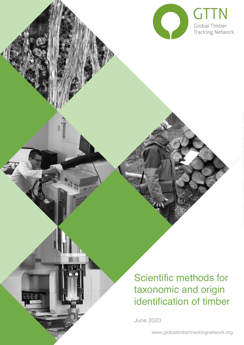

# Scientific methods for taxonomic and origin identification of timber

June 2020

 $\widetilde{\mathfrak{g}}^{0;\,0}_{\mathfrak{g},\,0}$ 

 $\mathbb{A}$ 

www.globaltimbertrackingnetwork.org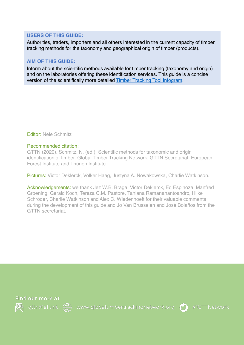#### **USERS OF THIS GUIDE:**

Authorities, traders, importers and all others interested in the current capacity of timber tracking methods for the taxonomy and geographical origin of timber (products).

### **AIM OF THIS GUIDE:**

Inform about the scientific methods available for timber tracking (taxonomy and origin) and on the laboratories offering these identification services. This guide is a concise version of the scientifically more detailed [Timber Tracking Tool Infogram.](https://www.researchgate.net/publication/332223451_The_Timber_Tracking_Tool_Infogram_Overview_of_wood_identification_methods%27_capacity)

Editor: Nele Schmitz

#### Recommended citation:

GTTN (2020). Schmitz, N. (ed.). Scientific methods for taxonomic and origin identification of timber. Global Timber Tracking Network, GTTN Secretariat, European Forest Institute and Thünen Institute.

Pictures: Victor Deklerck, Volker Haag, Justyna A. Nowakowska, Charlie Watkinson.

Acknowledgements: we thank Jez W.B. Braga, Victor Deklerck, Ed Espinoza, Manfred Groening, Gerald Koch, Tereza C.M. Pastore, Tahiana Ramananantoandro, Hilke Schröder, Charlie Watkinson and Alex C. Wiedenhoeft for their valuable comments during the development of this guide and Jo Van Brusselen and José Bolaños from the GTTN secretariat.





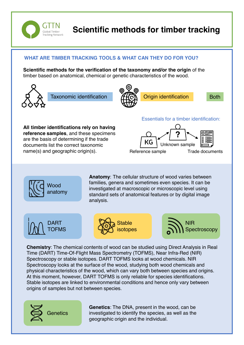

# **Scientific methods for timber tracking**

## **WHAT ARE TIMBER TRACKING TOOLS & WHAT CAN THEY DO FOR YOU?**

**Scientific methods for the verification of the taxonomy and/or the origin** of the timber based on anatomical, chemical or genetic characteristics of the wood.



Taxonomic identification  $H(\overline{C})$  Origin identification Both





**All timber identifications rely on having reference samples**, and these specimens are the basis of determining if the trade documents list the correct taxonomic name(s) and geographic origin(s).

#### Essentials for a timber identification:



Trade documents



**Anatomy**: The cellular structure of wood varies between families, genera and sometimes even species. It can be investigated at macroscopic or microscopic level using standard sets of anatomical features or by digital image analysis.

Reference sample







**Chemistry**: The chemical contents of wood can be studied using Direct Analysis in Real Time (DART) Time-Of-Flight Mass Spectrometry (TOFMS), Near Infra-Red (NIR) Spectroscopy or stable isotopes. DART TOFMS looks at wood chemicals. NIR Spectroscopy looks at the surface of the wood, studying both wood chemicals and physical characteristics of the wood, which can vary both between species and origins. At this moment, however, DART TOFMS is only reliable for species identifications. Stable isotopes are linked to environmental conditions and hence only vary between origins of samples but not between species.



**Genetics**: The DNA, present in the wood, can be investigated to identify the species, as well as the geographic origin and the individual.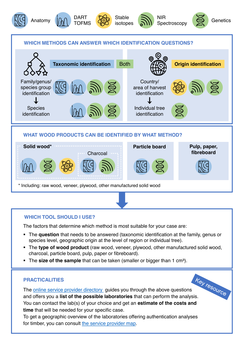











#### **WHICH METHODS CAN ANSWER WHICH IDENTIFICATION QUESTIONS?**



#### **WHAT WOOD PRODUCTS CAN BE IDENTIFIED BY WHAT METHOD?**



#### **WHICH TOOL SHOULD I USE?**

The factors that determine which method is most suitable for your case are:

- The **question** that needs to be answered (taxonomic identification at the family, genus or species level, geographic origin at the level of region or individual tree).
- **.** The type of wood product (raw wood, veneer, plywood, other manufactured solid wood, charcoal, particle board, pulp, paper or fibreboard).
- The **size of the sample** that can be taken (smaller or bigger than 1 cm<sup>3</sup>).

#### **PRACTICALITIES**

The [online service provider directory](https://globaltimbertrackingnetwork.org/products/spd/) guides you through the above questions **PRACTICALITIES**<br>The <u>online service provider directory</u> guides you through the above questions<br>and offers you a **list of the possible laboratories** that can perform the analysis. You can contact the lab(s) of your choice and get an **estimate of the costs and time** that will be needed for your specific case.

To get a geographic overview of the laboratories offering authentication analyses for timber, you can consult [the service provider map](https://globaltimbertrackingnetwork.org/providers/).